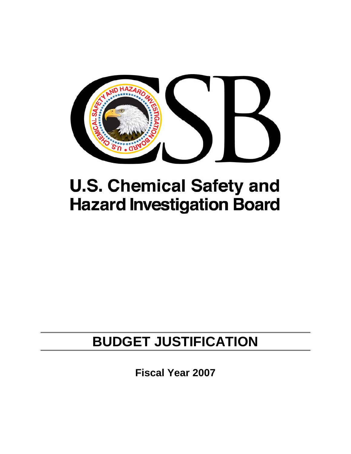

# **U.S. Chemical Safety and Hazard Investigation Board**

## **BUDGET JUSTIFICATION**

**Fiscal Year 2007**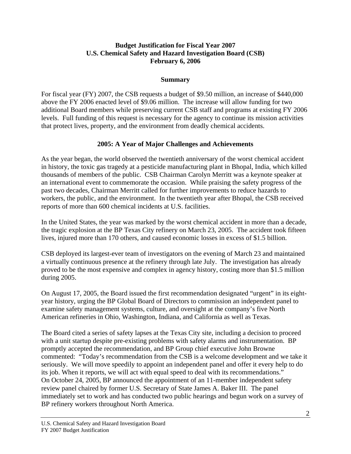## **Budget Justification for Fiscal Year 2007 U.S. Chemical Safety and Hazard Investigation Board (CSB) February 6, 2006**

## **Summary**

For fiscal year (FY) 2007, the CSB requests a budget of \$9.50 million, an increase of \$440,000 above the FY 2006 enacted level of \$9.06 million. The increase will allow funding for two additional Board members while preserving current CSB staff and programs at existing FY 2006 levels. Full funding of this request is necessary for the agency to continue its mission activities that protect lives, property, and the environment from deadly chemical accidents.

## **2005: A Year of Major Challenges and Achievements**

As the year began, the world observed the twentieth anniversary of the worst chemical accident in history, the toxic gas tragedy at a pesticide manufacturing plant in Bhopal, India, which killed thousands of members of the public. CSB Chairman Carolyn Merritt was a keynote speaker at an international event to commemorate the occasion. While praising the safety progress of the past two decades, Chairman Merritt called for further improvements to reduce hazards to workers, the public, and the environment. In the twentieth year after Bhopal, the CSB received reports of more than 600 chemical incidents at U.S. facilities.

In the United States, the year was marked by the worst chemical accident in more than a decade, the tragic explosion at the BP Texas City refinery on March 23, 2005. The accident took fifteen lives, injured more than 170 others, and caused economic losses in excess of \$1.5 billion.

CSB deployed its largest-ever team of investigators on the evening of March 23 and maintained a virtually continuous presence at the refinery through late July. The investigation has already proved to be the most expensive and complex in agency history, costing more than \$1.5 million during 2005.

On August 17, 2005, the Board issued the first recommendation designated "urgent" in its eightyear history, urging the BP Global Board of Directors to commission an independent panel to examine safety management systems, culture, and oversight at the company's five North American refineries in Ohio, Washington, Indiana, and California as well as Texas.

The Board cited a series of safety lapses at the Texas City site, including a decision to proceed with a unit startup despite pre-existing problems with safety alarms and instrumentation. BP promptly accepted the recommendation, and BP Group chief executive John Browne commented: "Today's recommendation from the CSB is a welcome development and we take it seriously. We will move speedily to appoint an independent panel and offer it every help to do its job. When it reports, we will act with equal speed to deal with its recommendations." On October 24, 2005, BP announced the appointment of an 11-member independent safety review panel chaired by former U.S. Secretary of State James A. Baker III. The panel immediately set to work and has conducted two public hearings and begun work on a survey of BP refinery workers throughout North America.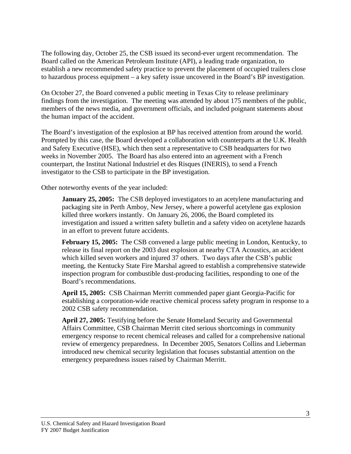The following day, October 25, the CSB issued its second-ever urgent recommendation. The Board called on the American Petroleum Institute (API), a leading trade organization, to establish a new recommended safety practice to prevent the placement of occupied trailers close to hazardous process equipment – a key safety issue uncovered in the Board's BP investigation.

On October 27, the Board convened a public meeting in Texas City to release preliminary findings from the investigation. The meeting was attended by about 175 members of the public, members of the news media, and government officials, and included poignant statements about the human impact of the accident.

The Board's investigation of the explosion at BP has received attention from around the world. Prompted by this case, the Board developed a collaboration with counterparts at the U.K. Health and Safety Executive (HSE), which then sent a representative to CSB headquarters for two weeks in November 2005. The Board has also entered into an agreement with a French counterpart, the Institut National Industriel et des Risques (INERIS), to send a French investigator to the CSB to participate in the BP investigation.

Other noteworthy events of the year included:

**January 25, 2005:** The CSB deployed investigators to an acetylene manufacturing and packaging site in Perth Amboy, New Jersey, where a powerful acetylene gas explosion killed three workers instantly. On January 26, 2006, the Board completed its investigation and issued a written safety bulletin and a safety video on acetylene hazards in an effort to prevent future accidents.

**February 15, 2005:** The CSB convened a large public meeting in London, Kentucky, to release its final report on the 2003 dust explosion at nearby CTA Acoustics, an accident which killed seven workers and injured 37 others. Two days after the CSB's public meeting, the Kentucky State Fire Marshal agreed to establish a comprehensive statewide inspection program for combustible dust-producing facilities, responding to one of the Board's recommendations.

**April 15, 2005:** CSB Chairman Merritt commended paper giant Georgia-Pacific for establishing a corporation-wide reactive chemical process safety program in response to a 2002 CSB safety recommendation.

**April 27, 2005:** Testifying before the Senate Homeland Security and Governmental Affairs Committee, CSB Chairman Merritt cited serious shortcomings in community emergency response to recent chemical releases and called for a comprehensive national review of emergency preparedness. In December 2005, Senators Collins and Lieberman introduced new chemical security legislation that focuses substantial attention on the emergency preparedness issues raised by Chairman Merritt.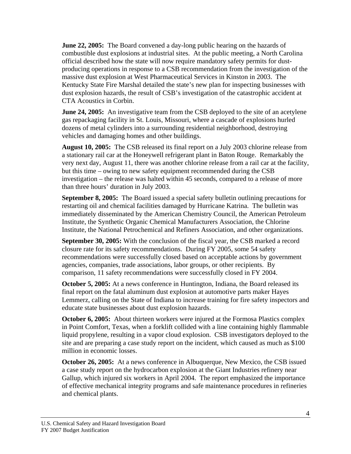**June 22, 2005:** The Board convened a day-long public hearing on the hazards of combustible dust explosions at industrial sites. At the public meeting, a North Carolina official described how the state will now require mandatory safety permits for dustproducing operations in response to a CSB recommendation from the investigation of the massive dust explosion at West Pharmaceutical Services in Kinston in 2003. The Kentucky State Fire Marshal detailed the state's new plan for inspecting businesses with dust explosion hazards, the result of CSB's investigation of the catastrophic accident at CTA Acoustics in Corbin.

**June 24, 2005:** An investigative team from the CSB deployed to the site of an acetylene gas repackaging facility in St. Louis, Missouri, where a cascade of explosions hurled dozens of metal cylinders into a surrounding residential neighborhood, destroying vehicles and damaging homes and other buildings.

**August 10, 2005:** The CSB released its final report on a July 2003 chlorine release from a stationary rail car at the Honeywell refrigerant plant in Baton Rouge. Remarkably the very next day, August 11, there was another chlorine release from a rail car at the facility, but this time – owing to new safety equipment recommended during the CSB investigation – the release was halted within 45 seconds, compared to a release of more than three hours' duration in July 2003.

**September 8, 2005:** The Board issued a special safety bulletin outlining precautions for restarting oil and chemical facilities damaged by Hurricane Katrina. The bulletin was immediately disseminated by the American Chemistry Council, the American Petroleum Institute, the Synthetic Organic Chemical Manufacturers Association, the Chlorine Institute, the National Petrochemical and Refiners Association, and other organizations.

**September 30, 2005:** With the conclusion of the fiscal year, the CSB marked a record closure rate for its safety recommendations. During FY 2005, some 54 safety recommendations were successfully closed based on acceptable actions by government agencies, companies, trade associations, labor groups, or other recipients. By comparison, 11 safety recommendations were successfully closed in FY 2004.

**October 5, 2005:** At a news conference in Huntington, Indiana, the Board released its final report on the fatal aluminum dust explosion at automotive parts maker Hayes Lemmerz, calling on the State of Indiana to increase training for fire safety inspectors and educate state businesses about dust explosion hazards.

**October 6, 2005:** About thirteen workers were injured at the Formosa Plastics complex in Point Comfort, Texas, when a forklift collided with a line containing highly flammable liquid propylene, resulting in a vapor cloud explosion. CSB investigators deployed to the site and are preparing a case study report on the incident, which caused as much as \$100 million in economic losses.

**October 26, 2005:** At a news conference in Albuquerque, New Mexico, the CSB issued a case study report on the hydrocarbon explosion at the Giant Industries refinery near Gallup, which injured six workers in April 2004. The report emphasized the importance of effective mechanical integrity programs and safe maintenance procedures in refineries and chemical plants.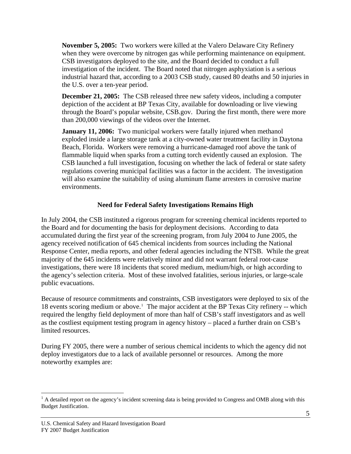**November 5, 2005:** Two workers were killed at the Valero Delaware City Refinery when they were overcome by nitrogen gas while performing maintenance on equipment. CSB investigators deployed to the site, and the Board decided to conduct a full investigation of the incident. The Board noted that nitrogen asphyxiation is a serious industrial hazard that, according to a 2003 CSB study, caused 80 deaths and 50 injuries in the U.S. over a ten-year period.

**December 21, 2005:** The CSB released three new safety videos, including a computer depiction of the accident at BP Texas City, available for downloading or live viewing through the Board's popular website, CSB.gov. During the first month, there were more than 200,000 viewings of the videos over the Internet.

**January 11, 2006:** Two municipal workers were fatally injured when methanol exploded inside a large storage tank at a city-owned water treatment facility in Daytona Beach, Florida. Workers were removing a hurricane-damaged roof above the tank of flammable liquid when sparks from a cutting torch evidently caused an explosion. The CSB launched a full investigation, focusing on whether the lack of federal or state safety regulations covering municipal facilities was a factor in the accident. The investigation will also examine the suitability of using aluminum flame arresters in corrosive marine environments.

## **Need for Federal Safety Investigations Remains High**

In July 2004, the CSB instituted a rigorous program for screening chemical incidents reported to the Board and for documenting the basis for deployment decisions. According to data accumulated during the first year of the screening program, from July 2004 to June 2005, the agency received notification of 645 chemical incidents from sources including the National Response Center, media reports, and other federal agencies including the NTSB. While the great majority of the 645 incidents were relatively minor and did not warrant federal root-cause investigations, there were 18 incidents that scored medium, medium/high, or high according to the agency's selection criteria. Most of these involved fatalities, serious injuries, or large-scale public evacuations.

Because of resource commitments and constraints, CSB investigators were deployed to six of the [1](#page-4-0)8 events scoring medium or above.<sup>1</sup> The major accident at the BP Texas City refinery -- which required the lengthy field deployment of more than half of CSB's staff investigators and as well as the costliest equipment testing program in agency history – placed a further drain on CSB's limited resources.

During FY 2005, there were a number of serious chemical incidents to which the agency did not deploy investigators due to a lack of available personnel or resources. Among the more noteworthy examples are:

<u>.</u>

<span id="page-4-0"></span> $<sup>1</sup>$  A detailed report on the agency's incident screening data is being provided to Congress and OMB along with this</sup> Budget Justification.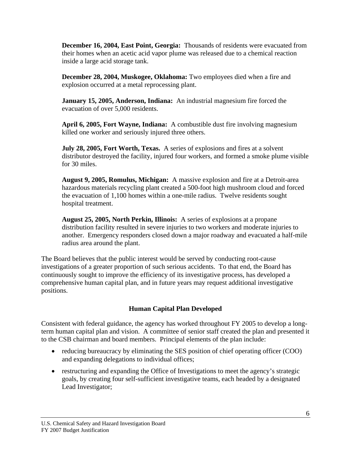**December 16, 2004, East Point, Georgia:** Thousands of residents were evacuated from their homes when an acetic acid vapor plume was released due to a chemical reaction inside a large acid storage tank.

**December 28, 2004, Muskogee, Oklahoma:** Two employees died when a fire and explosion occurred at a metal reprocessing plant.

**January 15, 2005, Anderson, Indiana:** An industrial magnesium fire forced the evacuation of over 5,000 residents.

**April 6, 2005, Fort Wayne, Indiana:** A combustible dust fire involving magnesium killed one worker and seriously injured three others.

**July 28, 2005, Fort Worth, Texas.** A series of explosions and fires at a solvent distributor destroyed the facility, injured four workers, and formed a smoke plume visible for 30 miles.

**August 9, 2005, Romulus, Michigan:** A massive explosion and fire at a Detroit-area hazardous materials recycling plant created a 500-foot high mushroom cloud and forced the evacuation of 1,100 homes within a one-mile radius. Twelve residents sought hospital treatment.

**August 25, 2005, North Perkin, Illinois:** A series of explosions at a propane distribution facility resulted in severe injuries to two workers and moderate injuries to another. Emergency responders closed down a major roadway and evacuated a half-mile radius area around the plant.

The Board believes that the public interest would be served by conducting root-cause investigations of a greater proportion of such serious accidents. To that end, the Board has continuously sought to improve the efficiency of its investigative process, has developed a comprehensive human capital plan, and in future years may request additional investigative positions.

## **Human Capital Plan Developed**

Consistent with federal guidance, the agency has worked throughout FY 2005 to develop a longterm human capital plan and vision. A committee of senior staff created the plan and presented it to the CSB chairman and board members. Principal elements of the plan include:

- reducing bureaucracy by eliminating the SES position of chief operating officer (COO) and expanding delegations to individual offices;
- restructuring and expanding the Office of Investigations to meet the agency's strategic goals, by creating four self-sufficient investigative teams, each headed by a designated Lead Investigator;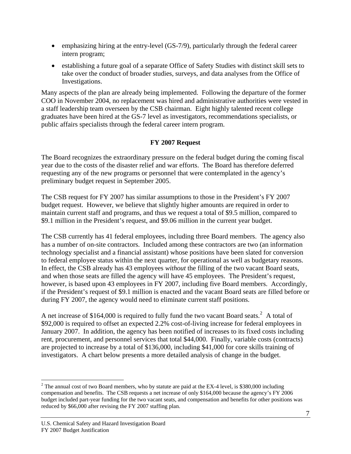- emphasizing hiring at the entry-level (GS-7/9), particularly through the federal career intern program;
- establishing a future goal of a separate Office of Safety Studies with distinct skill sets to take over the conduct of broader studies, surveys, and data analyses from the Office of Investigations.

Many aspects of the plan are already being implemented. Following the departure of the former COO in November 2004, no replacement was hired and administrative authorities were vested in a staff leadership team overseen by the CSB chairman. Eight highly talented recent college graduates have been hired at the GS-7 level as investigators, recommendations specialists, or public affairs specialists through the federal career intern program.

## **FY 2007 Request**

The Board recognizes the extraordinary pressure on the federal budget during the coming fiscal year due to the costs of the disaster relief and war efforts. The Board has therefore deferred requesting any of the new programs or personnel that were contemplated in the agency's preliminary budget request in September 2005.

The CSB request for FY 2007 has similar assumptions to those in the President's FY 2007 budget request. However, we believe that slightly higher amounts are required in order to maintain current staff and programs, and thus we request a total of \$9.5 million, compared to \$9.1 million in the President's request, and \$9.06 million in the current year budget.

The CSB currently has 41 federal employees, including three Board members. The agency also has a number of on-site contractors. Included among these contractors are two (an information technology specialist and a financial assistant) whose positions have been slated for conversion to federal employee status within the next quarter, for operational as well as budgetary reasons. In effect, the CSB already has 43 employees *without* the filling of the two vacant Board seats, and when those seats are filled the agency will have 45 employees. The President's request, however, is based upon 43 employees in FY 2007, including five Board members. Accordingly, if the President's request of \$9.1 million is enacted and the vacant Board seats are filled before or during FY 2007, the agency would need to eliminate current staff positions.

A net increase of \$164,000 is required to fully fund the two vacant Board seats.<sup>[2](#page-6-0)</sup> A total of \$92,000 is required to offset an expected 2.2% cost-of-living increase for federal employees in January 2007. In addition, the agency has been notified of increases to its fixed costs including rent, procurement, and personnel services that total \$44,000. Finally, variable costs (contracts) are projected to increase by a total of \$136,000, including \$41,000 for core skills training of investigators. A chart below presents a more detailed analysis of change in the budget.

<span id="page-6-0"></span><sup>1</sup> <sup>2</sup> The annual cost of two Board members, who by statute are paid at the EX-4 level, is \$380,000 including compensation and benefits. The CSB requests a net increase of only \$164,000 because the agency's FY 2006 budget included part-year funding for the two vacant seats, and compensation and benefits for other positions was reduced by \$66,000 after revising the FY 2007 staffing plan.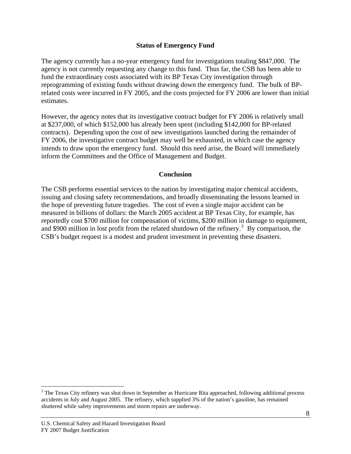### **Status of Emergency Fund**

The agency currently has a no-year emergency fund for investigations totaling \$847,000. The agency is not currently requesting any change to this fund. Thus far, the CSB has been able to fund the extraordinary costs associated with its BP Texas City investigation through reprogramming of existing funds without drawing down the emergency fund. The bulk of BPrelated costs were incurred in FY 2005, and the costs projected for FY 2006 are lower than initial estimates.

However, the agency notes that its investigative contract budget for FY 2006 is relatively small at \$237,000, of which \$152,000 has already been spent (including \$142,000 for BP-related contracts). Depending upon the cost of new investigations launched during the remainder of FY 2006, the investigative contract budget may well be exhausted, in which case the agency intends to draw upon the emergency fund. Should this need arise, the Board will immediately inform the Committees and the Office of Management and Budget.

#### **Conclusion**

The CSB performs essential services to the nation by investigating major chemical accidents, issuing and closing safety recommendations, and broadly disseminating the lessons learned in the hope of preventing future tragedies. The cost of even a single major accident can be measured in billions of dollars: the March 2005 accident at BP Texas City, for example, has reportedly cost \$700 million for compensation of victims, \$200 million in damage to equipment, and \$900 million in lost profit from the related shutdown of the refinery.<sup>[3](#page-7-0)</sup> By comparison, the CSB's budget request is a modest and prudent investment in preventing these disasters.

1

<span id="page-7-0"></span> $3$  The Texas City refinery was shut down in September as Hurricane Rita approached, following additional process accidents in July and August 2005. The refinery, which supplied 3% of the nation's gasoline, has remained shuttered while safety improvements and storm repairs are underway.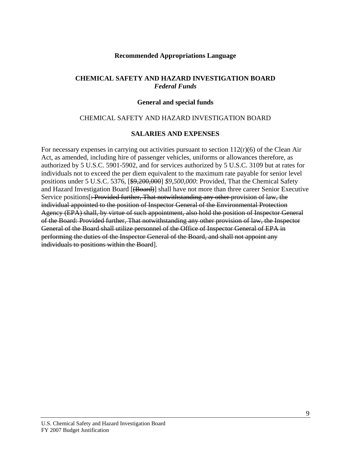#### **Recommended Appropriations Language**

#### **CHEMICAL SAFETY AND HAZARD INVESTIGATION BOARD**  *Federal Funds*

#### **General and special funds**

#### CHEMICAL SAFETY AND HAZARD INVESTIGATION BOARD

#### **SALARIES AND EXPENSES**

For necessary expenses in carrying out activities pursuant to section  $112(r)(6)$  of the Clean Air Act, as amended, including hire of passenger vehicles, uniforms or allowances therefore, as authorized by 5 U.S.C. 5901-5902, and for services authorized by 5 U.S.C. 3109 but at rates for individuals not to exceed the per diem equivalent to the maximum rate payable for senior level positions under 5 U.S.C. 5376, [\$9,200,000] *\$9,500,000*: Provided, That the Chemical Safety and Hazard Investigation Board [(Board)] shall have not more than three career Senior Executive Service positions[: Provided further, That notwithstanding any other provision of law, the individual appointed to the position of Inspector General of the Environmental Protection Agency (EPA) shall, by virtue of such appointment, also hold the position of Inspector General of the Board: Provided further, That notwithstanding any other provision of law, the Inspector General of the Board shall utilize personnel of the Office of Inspector General of EPA in performing the duties of the Inspector General of the Board, and shall not appoint any individuals to positions within the Board].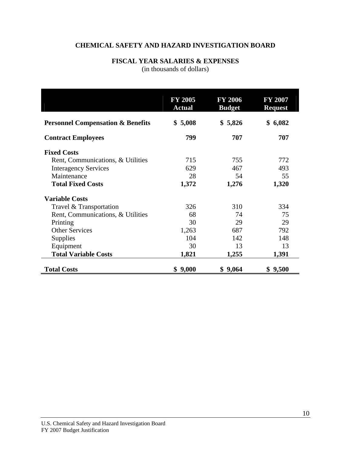## **CHEMICAL SAFETY AND HAZARD INVESTIGATION BOARD**

## **FISCAL YEAR SALARIES & EXPENSES**

(in thousands of dollars)

|                                              | <b>FY 2005</b><br><b>Actual</b> | <b>FY 2006</b><br><b>Budget</b> | <b>FY 2007</b><br><b>Request</b> |
|----------------------------------------------|---------------------------------|---------------------------------|----------------------------------|
| <b>Personnel Compensation &amp; Benefits</b> | \$5,008                         | \$5,826                         | 6,082<br>\$                      |
| <b>Contract Employees</b>                    | 799                             | 707                             | 707                              |
| <b>Fixed Costs</b>                           |                                 |                                 |                                  |
| Rent, Communications, & Utilities            | 715                             | 755                             | 772                              |
| <b>Interagency Services</b>                  | 629                             | 467                             | 493                              |
| Maintenance                                  | 28                              | 54                              | 55                               |
| <b>Total Fixed Costs</b>                     | 1,372                           | 1,276                           | 1,320                            |
| <b>Variable Costs</b>                        |                                 |                                 |                                  |
| Travel & Transportation                      | 326                             | 310                             | 334                              |
| Rent, Communications, & Utilities            | 68                              | 74                              | 75                               |
| Printing                                     | 30                              | 29                              | 29                               |
| <b>Other Services</b>                        | 1,263                           | 687                             | 792                              |
| Supplies                                     | 104                             | 142                             | 148                              |
| Equipment                                    | 30                              | 13                              | 13                               |
| <b>Total Variable Costs</b>                  | 1,821                           | 1,255                           | 1,391                            |
| <b>Total Costs</b>                           | 9,000<br>\$                     | \$9,064                         | \$9,500                          |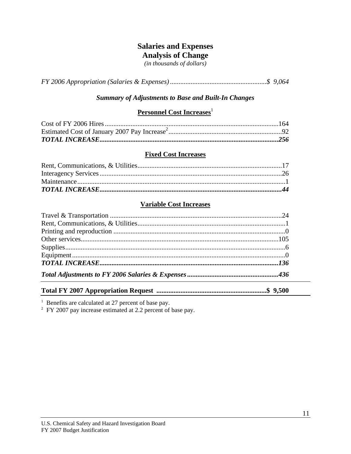## **Salaries and Expenses**

## **Analysis of Change**

*(in thousands of dollars)* 

*FY 2006 Appropriation (Salaries & Expenses) ........................................................\$ 9,064* 

## *Summary of Adjustments to Base and Built-In Changes*

## **Personnel Cost Increases**<sup>1</sup>

#### **Fixed Cost Increases**

#### **Variable Cost Increases**

**Total FY 2007 Appropriation Request ................................................................\$ 9,500** 

<sup>1</sup> Benefits are calculated at 27 percent of base pay.<br><sup>2</sup> FY 2007 pay increase estimated at 2.2 percent of base pay.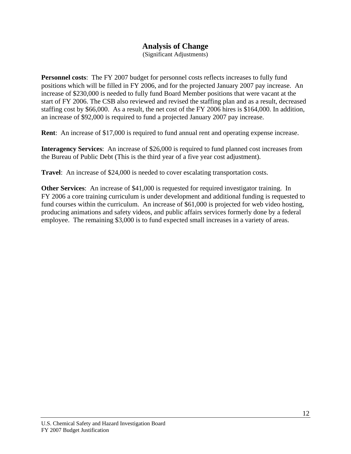## **Analysis of Change**

(Significant Adjustments)

**Personnel costs**: The FY 2007 budget for personnel costs reflects increases to fully fund positions which will be filled in FY 2006, and for the projected January 2007 pay increase. An increase of \$230,000 is needed to fully fund Board Member positions that were vacant at the start of FY 2006. The CSB also reviewed and revised the staffing plan and as a result, decreased staffing cost by \$66,000. As a result, the net cost of the FY 2006 hires is \$164,000. In addition, an increase of \$92,000 is required to fund a projected January 2007 pay increase.

**Rent:** An increase of \$17,000 is required to fund annual rent and operating expense increase.

**Interagency Services**: An increase of \$26,000 is required to fund planned cost increases from the Bureau of Public Debt (This is the third year of a five year cost adjustment).

**Travel**: An increase of \$24,000 is needed to cover escalating transportation costs.

**Other Services**: An increase of \$41,000 is requested for required investigator training. In FY 2006 a core training curriculum is under development and additional funding is requested to fund courses within the curriculum. An increase of \$61,000 is projected for web video hosting, producing animations and safety videos, and public affairs services formerly done by a federal employee. The remaining \$3,000 is to fund expected small increases in a variety of areas.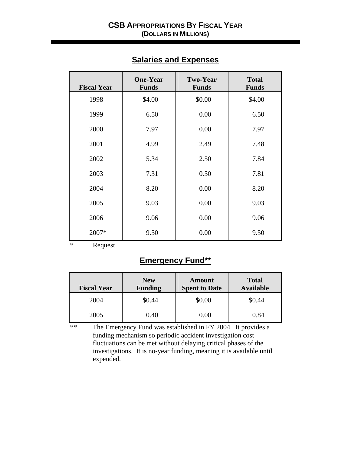| <b>Fiscal Year</b> | <b>One-Year</b><br><b>Funds</b> | <b>Two-Year</b><br><b>Funds</b> | <b>Total</b><br><b>Funds</b> |  |
|--------------------|---------------------------------|---------------------------------|------------------------------|--|
| 1998               | \$4.00                          | \$0.00                          | \$4.00                       |  |
| 1999               | 6.50                            | 0.00                            | 6.50                         |  |
| 2000               | 7.97                            | 0.00                            | 7.97                         |  |
| 2001               | 4.99                            | 2.49                            | 7.48                         |  |
| 2002               | 5.34                            | 2.50                            | 7.84                         |  |
| 2003               | 7.31                            | 0.50                            | 7.81                         |  |
| 2004               | 8.20                            | 0.00                            | 8.20                         |  |
| 2005               | 9.03                            | 0.00                            | 9.03                         |  |
| 2006               | 9.06                            | 0.00                            | 9.06                         |  |
| 2007*              | 9.50                            | 0.00                            | 9.50                         |  |

## **Salaries and Expenses**

\* Request

## **Emergency Fund\*\***

| <b>Fiscal Year</b> | <b>New</b><br><b>Funding</b> | Amount<br><b>Spent to Date</b> | <b>Total</b><br><b>Available</b> |
|--------------------|------------------------------|--------------------------------|----------------------------------|
| 2004               | \$0.44                       | \$0.00                         | \$0.44                           |
| 2005               | 0.40                         | 0.00                           | 0.84                             |

\*\* The Emergency Fund was established in FY 2004. It provides a funding mechanism so periodic accident investigation cost fluctuations can be met without delaying critical phases of the investigations. It is no-year funding, meaning it is available until expended.